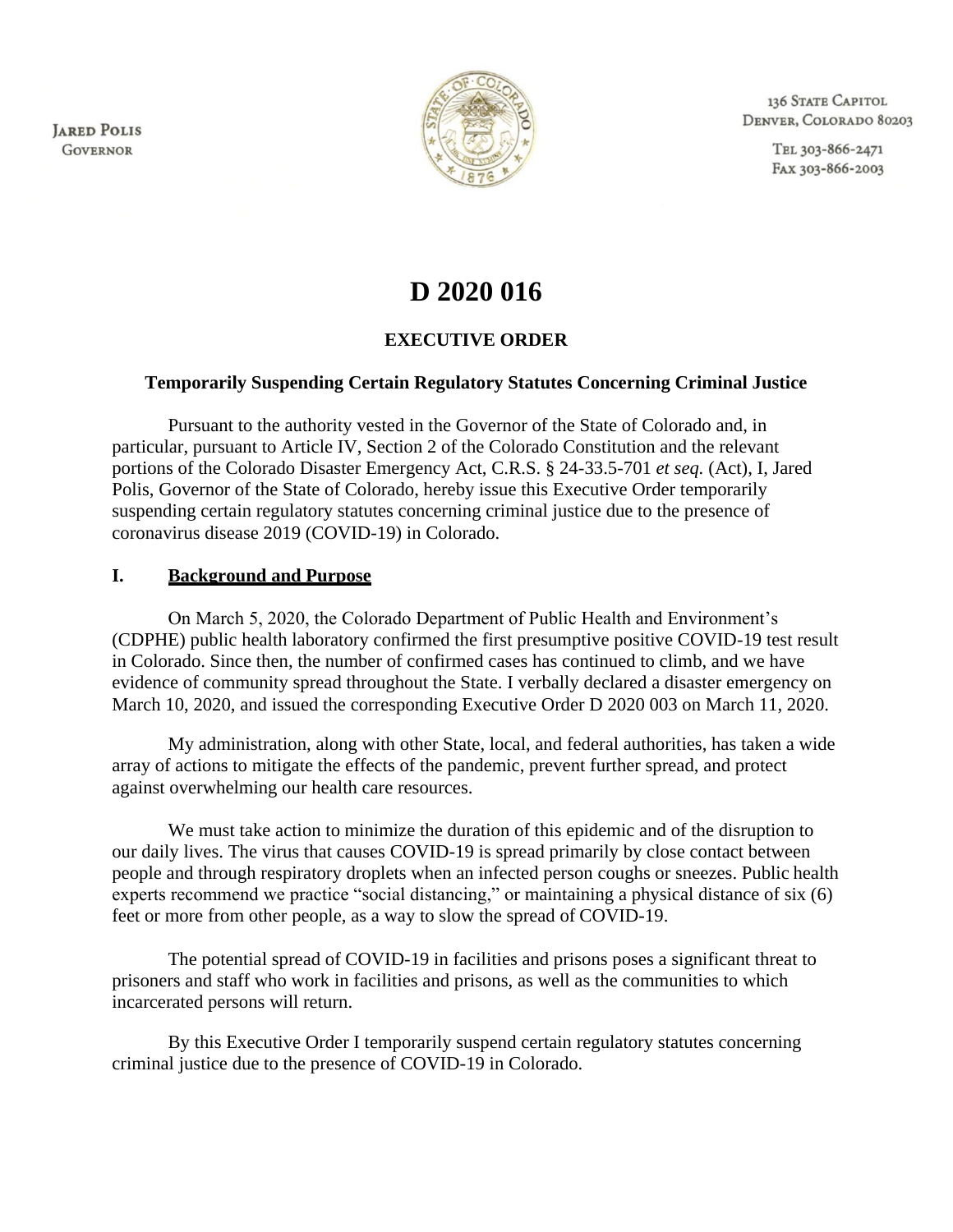**JARED POLIS GOVERNOR** 



136 STATE CAPITOL DENVER, COLORADO 80203

> TEL 303-866-2471 FAX 303-866-2003

# **D 2020 016**

#### **EXECUTIVE ORDER**

#### **Temporarily Suspending Certain Regulatory Statutes Concerning Criminal Justice**

Pursuant to the authority vested in the Governor of the State of Colorado and, in particular, pursuant to Article IV, Section 2 of the Colorado Constitution and the relevant portions of the Colorado Disaster Emergency Act, C.R.S. § 24-33.5-701 *et seq.* (Act), I, Jared Polis, Governor of the State of Colorado, hereby issue this Executive Order temporarily suspending certain regulatory statutes concerning criminal justice due to the presence of coronavirus disease 2019 (COVID-19) in Colorado.

#### **I. Background and Purpose**

On March 5, 2020, the Colorado Department of Public Health and Environment's (CDPHE) public health laboratory confirmed the first presumptive positive COVID-19 test result in Colorado. Since then, the number of confirmed cases has continued to climb, and we have evidence of community spread throughout the State. I verbally declared a disaster emergency on March 10, 2020, and issued the corresponding Executive Order D 2020 003 on March 11, 2020.

My administration, along with other State, local, and federal authorities, has taken a wide array of actions to mitigate the effects of the pandemic, prevent further spread, and protect against overwhelming our health care resources.

We must take action to minimize the duration of this epidemic and of the disruption to our daily lives. The virus that causes COVID-19 is spread primarily by close contact between people and through respiratory droplets when an infected person coughs or sneezes. Public health experts recommend we practice "social distancing," or maintaining a physical distance of six (6) feet or more from other people, as a way to slow the spread of COVID-19.

The potential spread of COVID-19 in facilities and prisons poses a significant threat to prisoners and staff who work in facilities and prisons, as well as the communities to which incarcerated persons will return.

By this Executive Order I temporarily suspend certain regulatory statutes concerning criminal justice due to the presence of COVID-19 in Colorado.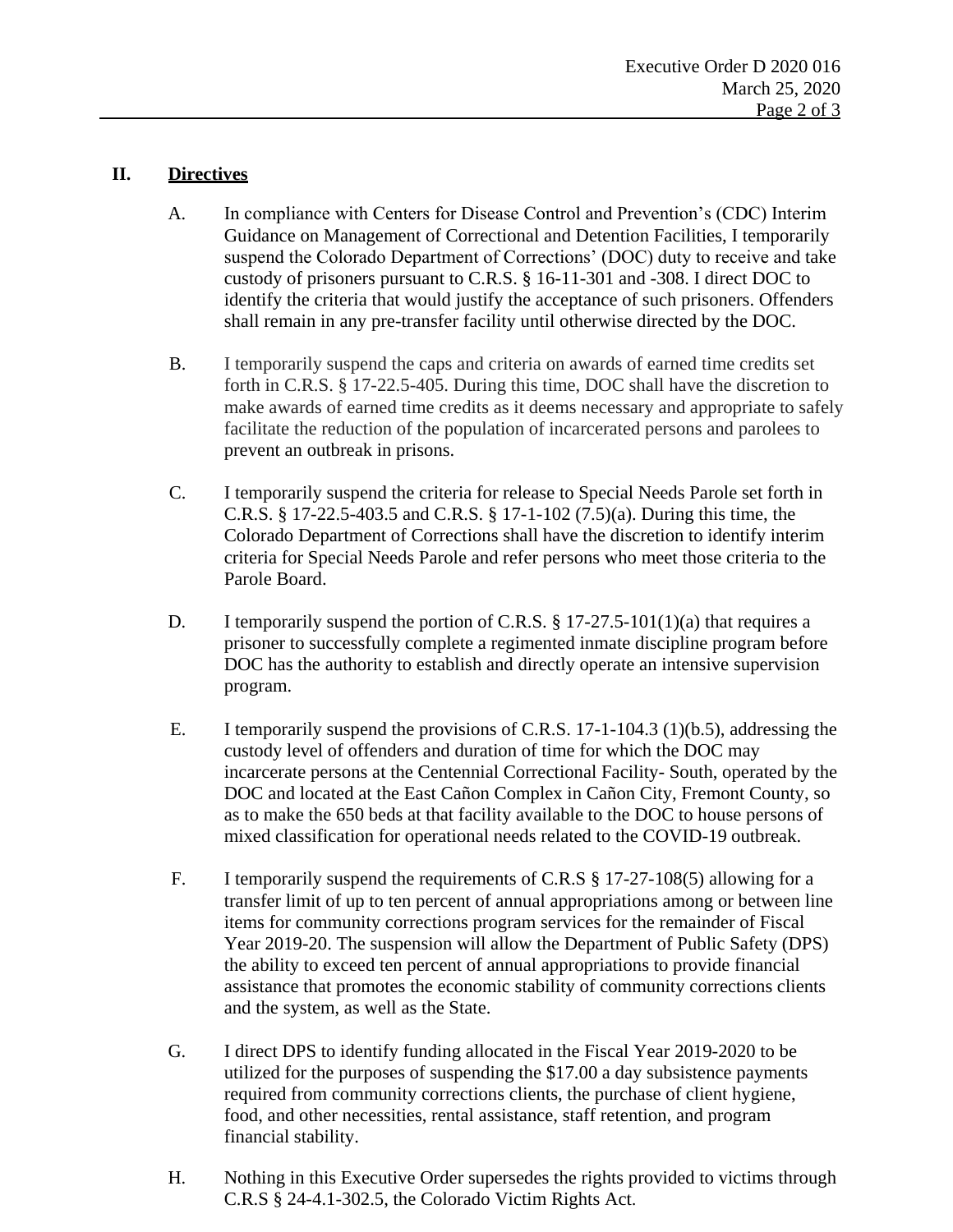### **II. Directives**

- A. In compliance with Centers for Disease Control and Prevention's (CDC) Interim Guidance on Management of Correctional and Detention Facilities, I temporarily suspend the Colorado Department of Corrections' (DOC) duty to receive and take custody of prisoners pursuant to C.R.S. § 16-11-301 and -308. I direct DOC to identify the criteria that would justify the acceptance of such prisoners. Offenders shall remain in any pre-transfer facility until otherwise directed by the DOC.
- B. I temporarily suspend the caps and criteria on awards of earned time credits set forth in C.R.S. § 17-22.5-405. During this time, DOC shall have the discretion to make awards of earned time credits as it deems necessary and appropriate to safely facilitate the reduction of the population of incarcerated persons and parolees to prevent an outbreak in prisons.
- C. I temporarily suspend the criteria for release to Special Needs Parole set forth in C.R.S. § 17-22.5-403.5 and C.R.S. § 17-1-102 (7.5)(a). During this time, the Colorado Department of Corrections shall have the discretion to identify interim criteria for Special Needs Parole and refer persons who meet those criteria to the Parole Board.
- D. I temporarily suspend the portion of C.R.S. § 17-27.5-101(1)(a) that requires a prisoner to successfully complete a regimented inmate discipline program before DOC has the authority to establish and directly operate an intensive supervision program.
- E. I temporarily suspend the provisions of C.R.S. 17-1-104.3 (1)(b.5), addressing the custody level of offenders and duration of time for which the DOC may incarcerate persons at the Centennial Correctional Facility- South, operated by the DOC and located at the East Cañon Complex in Cañon City, Fremont County, so as to make the 650 beds at that facility available to the DOC to house persons of mixed classification for operational needs related to the COVID-19 outbreak.
- F. I temporarily suspend the requirements of C.R.S § 17-27-108(5) allowing for a transfer limit of up to ten percent of annual appropriations among or between line items for community corrections program services for the remainder of Fiscal Year 2019-20. The suspension will allow the Department of Public Safety (DPS) the ability to exceed ten percent of annual appropriations to provide financial assistance that promotes the economic stability of community corrections clients and the system, as well as the State.
- G. I direct DPS to identify funding allocated in the Fiscal Year 2019-2020 to be utilized for the purposes of suspending the \$17.00 a day subsistence payments required from community corrections clients, the purchase of client hygiene, food, and other necessities, rental assistance, staff retention, and program financial stability.
- H. Nothing in this Executive Order supersedes the rights provided to victims through C.R.S § 24-4.1-302.5, the Colorado Victim Rights Act.